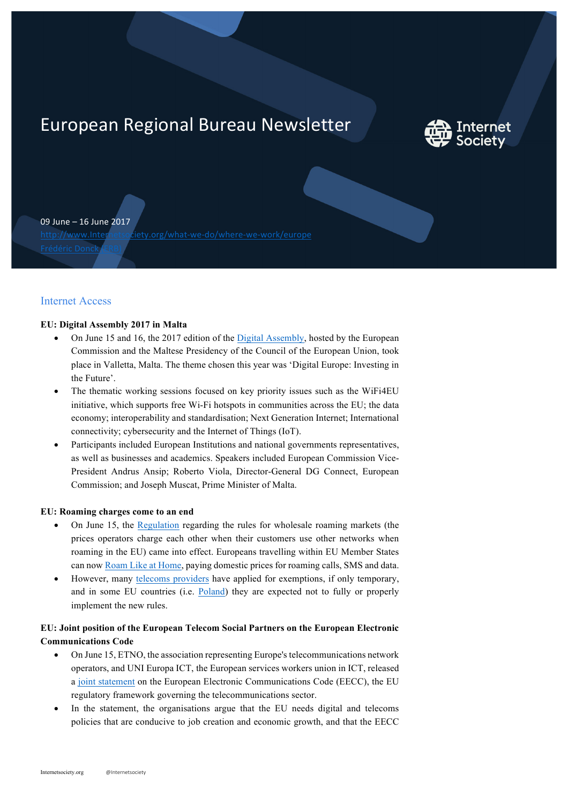# European Regional Bureau Newsletter



09 June – 16 June 2017

http://www.Internetsociety.org/what-we-do/where-we-work/europe

## Internet Access

#### **EU: Digital Assembly 2017 in Malta**

- On June 15 and 16, the 2017 edition of the Digital Assembly, hosted by the European Commission and the Maltese Presidency of the Council of the European Union, took place in Valletta, Malta. The theme chosen this year was 'Digital Europe: Investing in the Future'.
- The thematic working sessions focused on key priority issues such as the WiFi4EU initiative, which supports free Wi-Fi hotspots in communities across the EU; the data economy; interoperability and standardisation; Next Generation Internet; International connectivity; cybersecurity and the Internet of Things (IoT).
- Participants included European Institutions and national governments representatives, as well as businesses and academics. Speakers included European Commission Vice-President Andrus Ansip; Roberto Viola, Director-General DG Connect, European Commission; and Joseph Muscat, Prime Minister of Malta.

#### **EU: Roaming charges come to an end**

- On June 15, the Regulation regarding the rules for wholesale roaming markets (the prices operators charge each other when their customers use other networks when roaming in the EU) came into effect. Europeans travelling within EU Member States can now Roam Like at Home, paying domestic prices for roaming calls, SMS and data.
- However, many telecoms providers have applied for exemptions, if only temporary, and in some EU countries (i.e. Poland) they are expected not to fully or properly implement the new rules.

### **EU: Joint position of the European Telecom Social Partners on the European Electronic Communications Code**

- On June 15, ETNO, the association representing Europe's telecommunications network operators, and UNI Europa ICT, the European services workers union in ICT, released a joint statement on the European Electronic Communications Code (EECC), the EU regulatory framework governing the telecommunications sector.
- In the statement, the organisations argue that the EU needs digital and telecoms policies that are conducive to job creation and economic growth, and that the EECC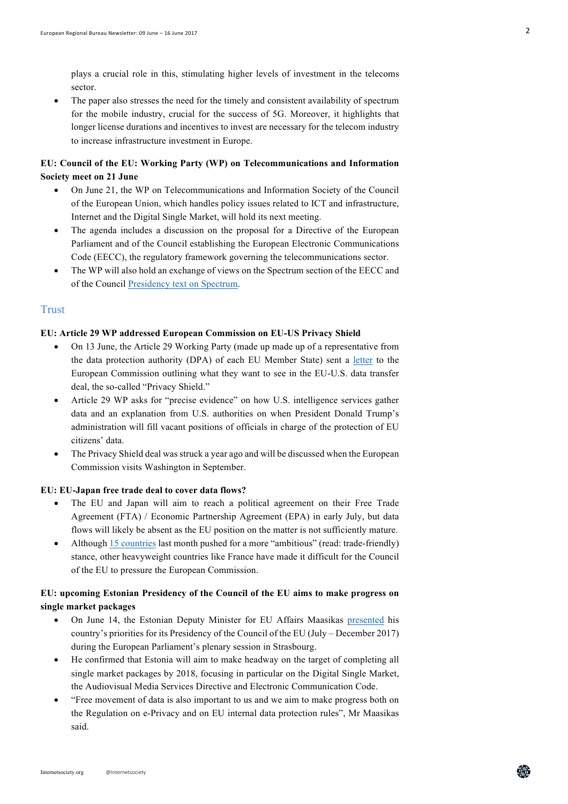plays a crucial role in this, stimulating higher levels of investment in the telecoms sector.

• The paper also stresses the need for the timely and consistent availability of spectrum for the mobile industry, crucial for the success of 5G. Moreover, it highlights that longer license durations and incentives to invest are necessary for the telecom industry to increase infrastructure investment in Europe.

## **EU: Council of the EU: Working Party (WP) on Telecommunications and Information Society meet on 21 June**

- On June 21, the WP on Telecommunications and Information Society of the Council of the European Union, which handles policy issues related to ICT and infrastructure, Internet and the Digital Single Market, will hold its next meeting.
- The agenda includes a discussion on the proposal for a Directive of the European Parliament and of the Council establishing the European Electronic Communications Code (EECC), the regulatory framework governing the telecommunications sector.
- The WP will also hold an exchange of views on the Spectrum section of the EECC and of the Council Presidency text on Spectrum.

## **Trust**

#### **EU: Article 29 WP addressed European Commission on EU-US Privacy Shield**

- On 13 June, the Article 29 Working Party (made up made up of a representative from the data protection authority (DPA) of each EU Member State) sent a letter to the European Commission outlining what they want to see in the EU-U.S. data transfer deal, the so-called "Privacy Shield."
- Article 29 WP asks for "precise evidence" on how U.S. intelligence services gather data and an explanation from U.S. authorities on when President Donald Trump's administration will fill vacant positions of officials in charge of the protection of EU citizens' data.
- The Privacy Shield deal was struck a year ago and will be discussed when the European Commission visits Washington in September.

#### **EU: EU-Japan free trade deal to cover data flows?**

- The EU and Japan will aim to reach a political agreement on their Free Trade Agreement (FTA) / Economic Partnership Agreement (EPA) in early July, but data flows will likely be absent as the EU position on the matter is not sufficiently mature.
- Although 15 countries last month pushed for a more "ambitious" (read: trade-friendly) stance, other heavyweight countries like France have made it difficult for the Council of the EU to pressure the European Commission.

## **EU: upcoming Estonian Presidency of the Council of the EU aims to make progress on single market packages**

- On June 14, the Estonian Deputy Minister for EU Affairs Maasikas presented his country's priorities for its Presidency of the Council of the EU (July – December 2017) during the European Parliament's plenary session in Strasbourg.
- He confirmed that Estonia will aim to make headway on the target of completing all single market packages by 2018, focusing in particular on the Digital Single Market, the Audiovisual Media Services Directive and Electronic Communication Code.
- "Free movement of data is also important to us and we aim to make progress both on the Regulation on e-Privacy and on EU internal data protection rules", Mr Maasikas said.